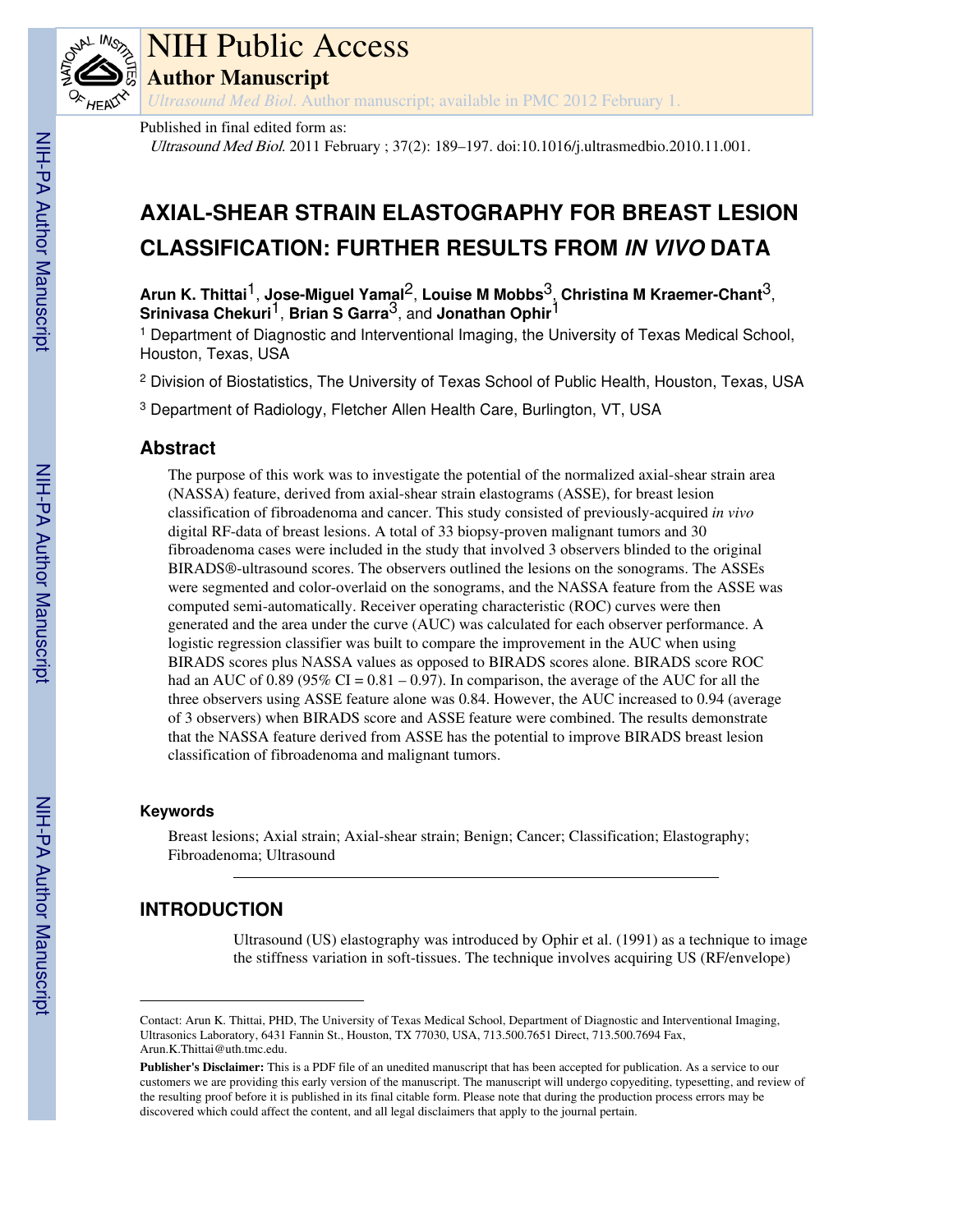

# NIH Public Access

**Author Manuscript**

*Ultrasound Med Biol*. Author manuscript; available in PMC 2012 February 1.

Published in final edited form as:

Ultrasound Med Biol. 2011 February ; 37(2): 189–197. doi:10.1016/j.ultrasmedbio.2010.11.001.

# **AXIAL-SHEAR STRAIN ELASTOGRAPHY FOR BREAST LESION CLASSIFICATION: FURTHER RESULTS FROM IN VIVO DATA**

**Arun K. Thittai**1, **Jose-Miguel Yamal**2, **Louise M Mobbs**3, **Christina M Kraemer-Chant**3, **Srinivasa Chekuri**1, **Brian S Garra**3, and **Jonathan Ophir**1

<sup>1</sup> Department of Diagnostic and Interventional Imaging, the University of Texas Medical School, Houston, Texas, USA

<sup>2</sup> Division of Biostatistics, The University of Texas School of Public Health, Houston, Texas, USA

<sup>3</sup> Department of Radiology, Fletcher Allen Health Care, Burlington, VT, USA

# **Abstract**

The purpose of this work was to investigate the potential of the normalized axial-shear strain area (NASSA) feature, derived from axial-shear strain elastograms (ASSE), for breast lesion classification of fibroadenoma and cancer. This study consisted of previously-acquired *in vivo* digital RF-data of breast lesions. A total of 33 biopsy-proven malignant tumors and 30 fibroadenoma cases were included in the study that involved 3 observers blinded to the original BIRADS®-ultrasound scores. The observers outlined the lesions on the sonograms. The ASSEs were segmented and color-overlaid on the sonograms, and the NASSA feature from the ASSE was computed semi-automatically. Receiver operating characteristic (ROC) curves were then generated and the area under the curve (AUC) was calculated for each observer performance. A logistic regression classifier was built to compare the improvement in the AUC when using BIRADS scores plus NASSA values as opposed to BIRADS scores alone. BIRADS score ROC had an AUC of 0.89 (95% CI =  $0.81 - 0.97$ ). In comparison, the average of the AUC for all the three observers using ASSE feature alone was 0.84. However, the AUC increased to 0.94 (average of 3 observers) when BIRADS score and ASSE feature were combined. The results demonstrate that the NASSA feature derived from ASSE has the potential to improve BIRADS breast lesion classification of fibroadenoma and malignant tumors.

### **Keywords**

Breast lesions; Axial strain; Axial-shear strain; Benign; Cancer; Classification; Elastography; Fibroadenoma; Ultrasound

# **INTRODUCTION**

Ultrasound (US) elastography was introduced by Ophir et al. (1991) as a technique to image the stiffness variation in soft-tissues. The technique involves acquiring US (RF/envelope)

Contact: Arun K. Thittai, PHD, The University of Texas Medical School, Department of Diagnostic and Interventional Imaging, Ultrasonics Laboratory, 6431 Fannin St., Houston, TX 77030, USA, 713.500.7651 Direct, 713.500.7694 Fax, Arun.K.Thittai@uth.tmc.edu.

**Publisher's Disclaimer:** This is a PDF file of an unedited manuscript that has been accepted for publication. As a service to our customers we are providing this early version of the manuscript. The manuscript will undergo copyediting, typesetting, and review of the resulting proof before it is published in its final citable form. Please note that during the production process errors may be discovered which could affect the content, and all legal disclaimers that apply to the journal pertain.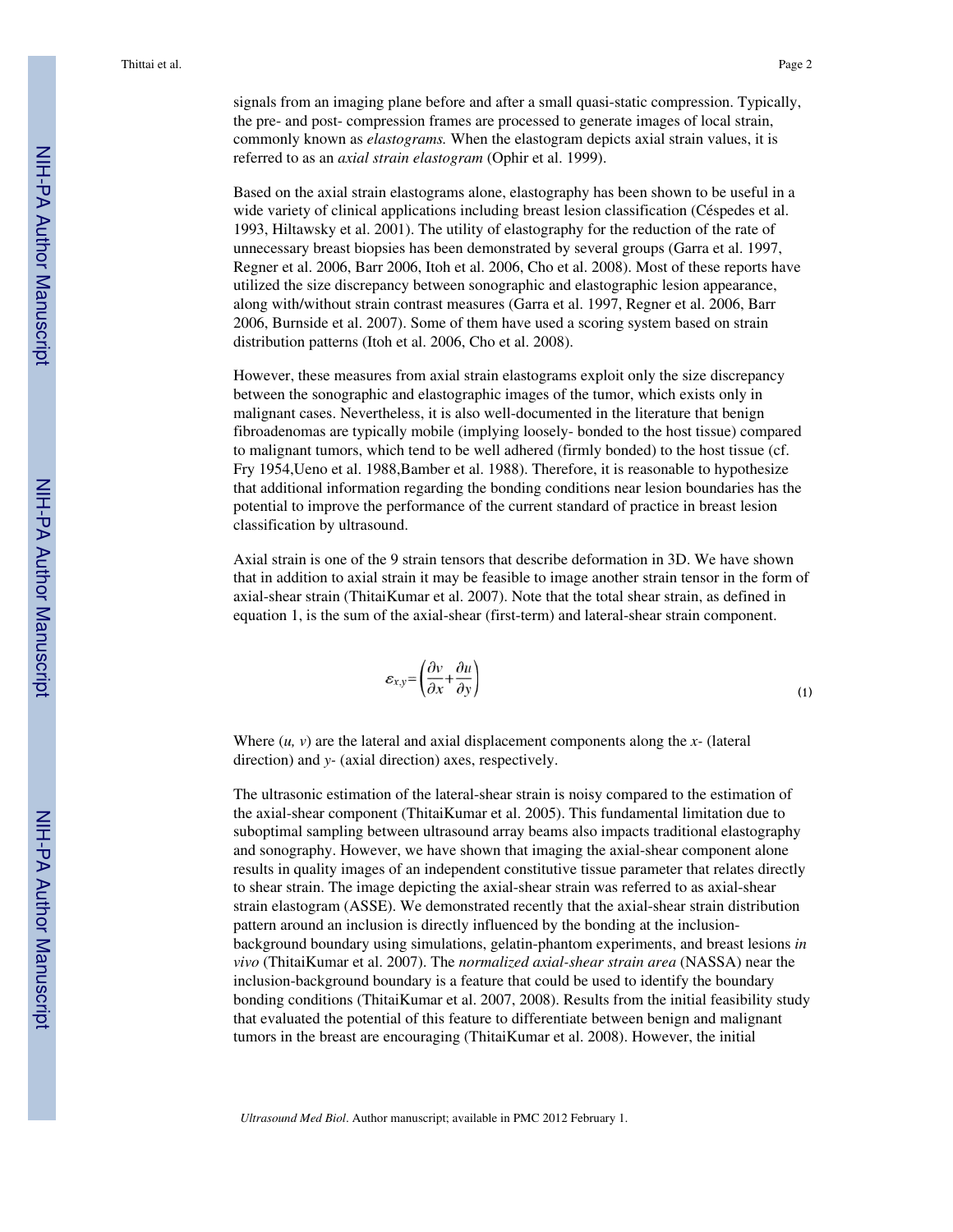signals from an imaging plane before and after a small quasi-static compression. Typically, the pre- and post- compression frames are processed to generate images of local strain, commonly known as *elastograms.* When the elastogram depicts axial strain values, it is referred to as an *axial strain elastogram* (Ophir et al. 1999).

Based on the axial strain elastograms alone, elastography has been shown to be useful in a wide variety of clinical applications including breast lesion classification (Céspedes et al. 1993, Hiltawsky et al. 2001). The utility of elastography for the reduction of the rate of unnecessary breast biopsies has been demonstrated by several groups (Garra et al. 1997, Regner et al. 2006, Barr 2006, Itoh et al. 2006, Cho et al. 2008). Most of these reports have utilized the size discrepancy between sonographic and elastographic lesion appearance, along with/without strain contrast measures (Garra et al. 1997, Regner et al. 2006, Barr 2006, Burnside et al. 2007). Some of them have used a scoring system based on strain distribution patterns (Itoh et al. 2006, Cho et al. 2008).

However, these measures from axial strain elastograms exploit only the size discrepancy between the sonographic and elastographic images of the tumor, which exists only in malignant cases. Nevertheless, it is also well-documented in the literature that benign fibroadenomas are typically mobile (implying loosely- bonded to the host tissue) compared to malignant tumors, which tend to be well adhered (firmly bonded) to the host tissue (cf. Fry 1954,Ueno et al. 1988,Bamber et al. 1988). Therefore, it is reasonable to hypothesize that additional information regarding the bonding conditions near lesion boundaries has the potential to improve the performance of the current standard of practice in breast lesion classification by ultrasound.

Axial strain is one of the 9 strain tensors that describe deformation in 3D. We have shown that in addition to axial strain it may be feasible to image another strain tensor in the form of axial-shear strain (ThitaiKumar et al. 2007). Note that the total shear strain, as defined in equation 1, is the sum of the axial-shear (first-term) and lateral-shear strain component.

$$
\varepsilon_{x,y} = \left(\frac{\partial v}{\partial x} + \frac{\partial u}{\partial y}\right) \tag{1}
$$

Where (*u, v*) are the lateral and axial displacement components along the *x-* (lateral direction) and *y-* (axial direction) axes, respectively.

The ultrasonic estimation of the lateral-shear strain is noisy compared to the estimation of the axial-shear component (ThitaiKumar et al. 2005). This fundamental limitation due to suboptimal sampling between ultrasound array beams also impacts traditional elastography and sonography. However, we have shown that imaging the axial-shear component alone results in quality images of an independent constitutive tissue parameter that relates directly to shear strain. The image depicting the axial-shear strain was referred to as axial-shear strain elastogram (ASSE). We demonstrated recently that the axial-shear strain distribution pattern around an inclusion is directly influenced by the bonding at the inclusionbackground boundary using simulations, gelatin-phantom experiments, and breast lesions *in vivo* (ThitaiKumar et al. 2007). The *normalized axial-shear strain area* (NASSA) near the inclusion-background boundary is a feature that could be used to identify the boundary bonding conditions (ThitaiKumar et al. 2007, 2008). Results from the initial feasibility study that evaluated the potential of this feature to differentiate between benign and malignant tumors in the breast are encouraging (ThitaiKumar et al. 2008). However, the initial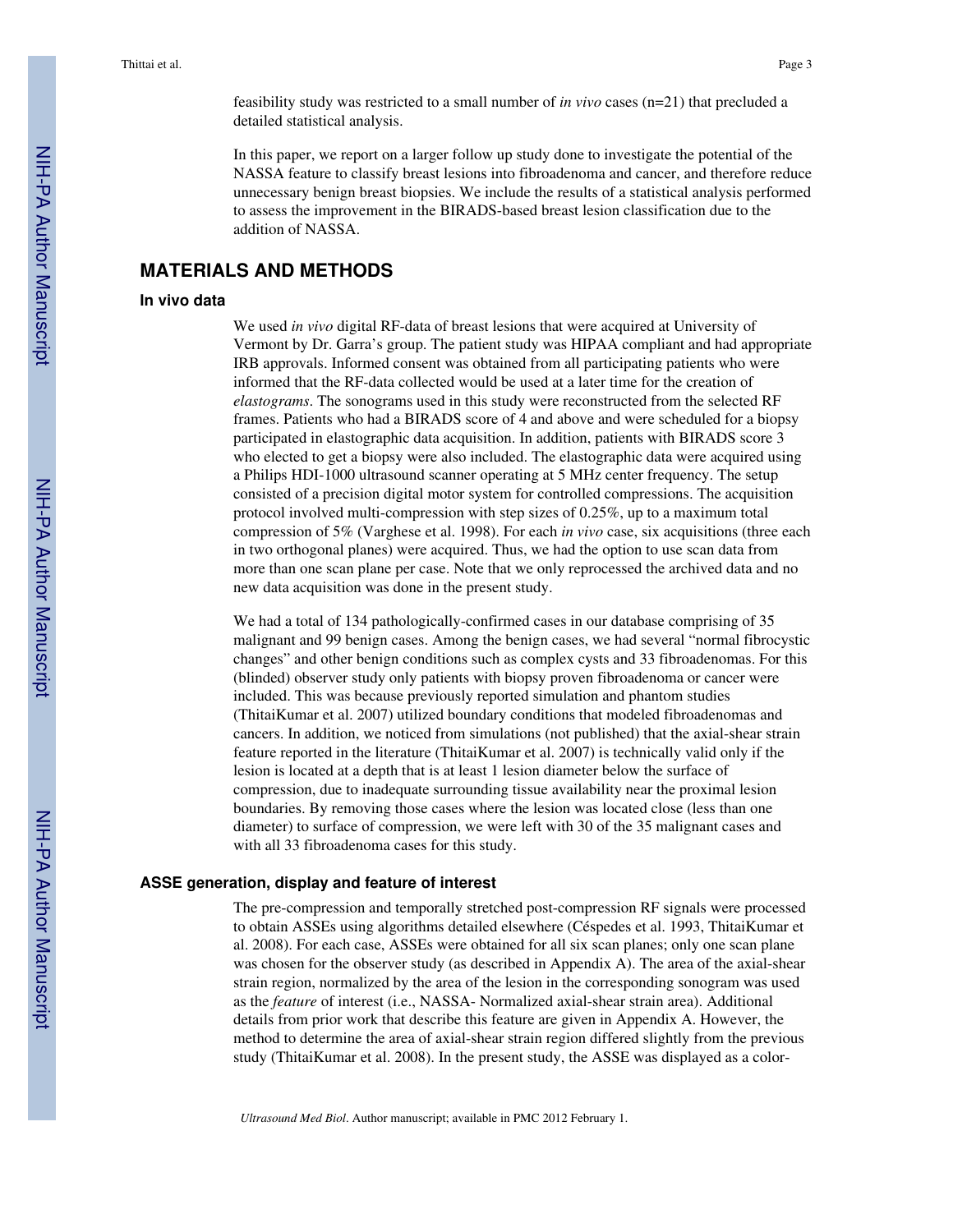In this paper, we report on a larger follow up study done to investigate the potential of the NASSA feature to classify breast lesions into fibroadenoma and cancer, and therefore reduce unnecessary benign breast biopsies. We include the results of a statistical analysis performed to assess the improvement in the BIRADS-based breast lesion classification due to the addition of NASSA.

# **MATERIALS AND METHODS**

#### **In vivo data**

We used *in vivo* digital RF-data of breast lesions that were acquired at University of Vermont by Dr. Garra's group. The patient study was HIPAA compliant and had appropriate IRB approvals. Informed consent was obtained from all participating patients who were informed that the RF-data collected would be used at a later time for the creation of *elastograms*. The sonograms used in this study were reconstructed from the selected RF frames. Patients who had a BIRADS score of 4 and above and were scheduled for a biopsy participated in elastographic data acquisition. In addition, patients with BIRADS score 3 who elected to get a biopsy were also included. The elastographic data were acquired using a Philips HDI-1000 ultrasound scanner operating at 5 MHz center frequency. The setup consisted of a precision digital motor system for controlled compressions. The acquisition protocol involved multi-compression with step sizes of 0.25%, up to a maximum total compression of 5% (Varghese et al. 1998). For each *in vivo* case, six acquisitions (three each in two orthogonal planes) were acquired. Thus, we had the option to use scan data from more than one scan plane per case. Note that we only reprocessed the archived data and no new data acquisition was done in the present study.

We had a total of 134 pathologically-confirmed cases in our database comprising of 35 malignant and 99 benign cases. Among the benign cases, we had several "normal fibrocystic changes" and other benign conditions such as complex cysts and 33 fibroadenomas. For this (blinded) observer study only patients with biopsy proven fibroadenoma or cancer were included. This was because previously reported simulation and phantom studies (ThitaiKumar et al. 2007) utilized boundary conditions that modeled fibroadenomas and cancers. In addition, we noticed from simulations (not published) that the axial-shear strain feature reported in the literature (ThitaiKumar et al. 2007) is technically valid only if the lesion is located at a depth that is at least 1 lesion diameter below the surface of compression, due to inadequate surrounding tissue availability near the proximal lesion boundaries. By removing those cases where the lesion was located close (less than one diameter) to surface of compression, we were left with 30 of the 35 malignant cases and with all 33 fibroadenoma cases for this study.

#### **ASSE generation, display and feature of interest**

The pre-compression and temporally stretched post-compression RF signals were processed to obtain ASSEs using algorithms detailed elsewhere (Céspedes et al. 1993, ThitaiKumar et al. 2008). For each case, ASSEs were obtained for all six scan planes; only one scan plane was chosen for the observer study (as described in Appendix A). The area of the axial-shear strain region, normalized by the area of the lesion in the corresponding sonogram was used as the *feature* of interest (i.e., NASSA- Normalized axial-shear strain area). Additional details from prior work that describe this feature are given in Appendix A. However, the method to determine the area of axial-shear strain region differed slightly from the previous study (ThitaiKumar et al. 2008). In the present study, the ASSE was displayed as a color-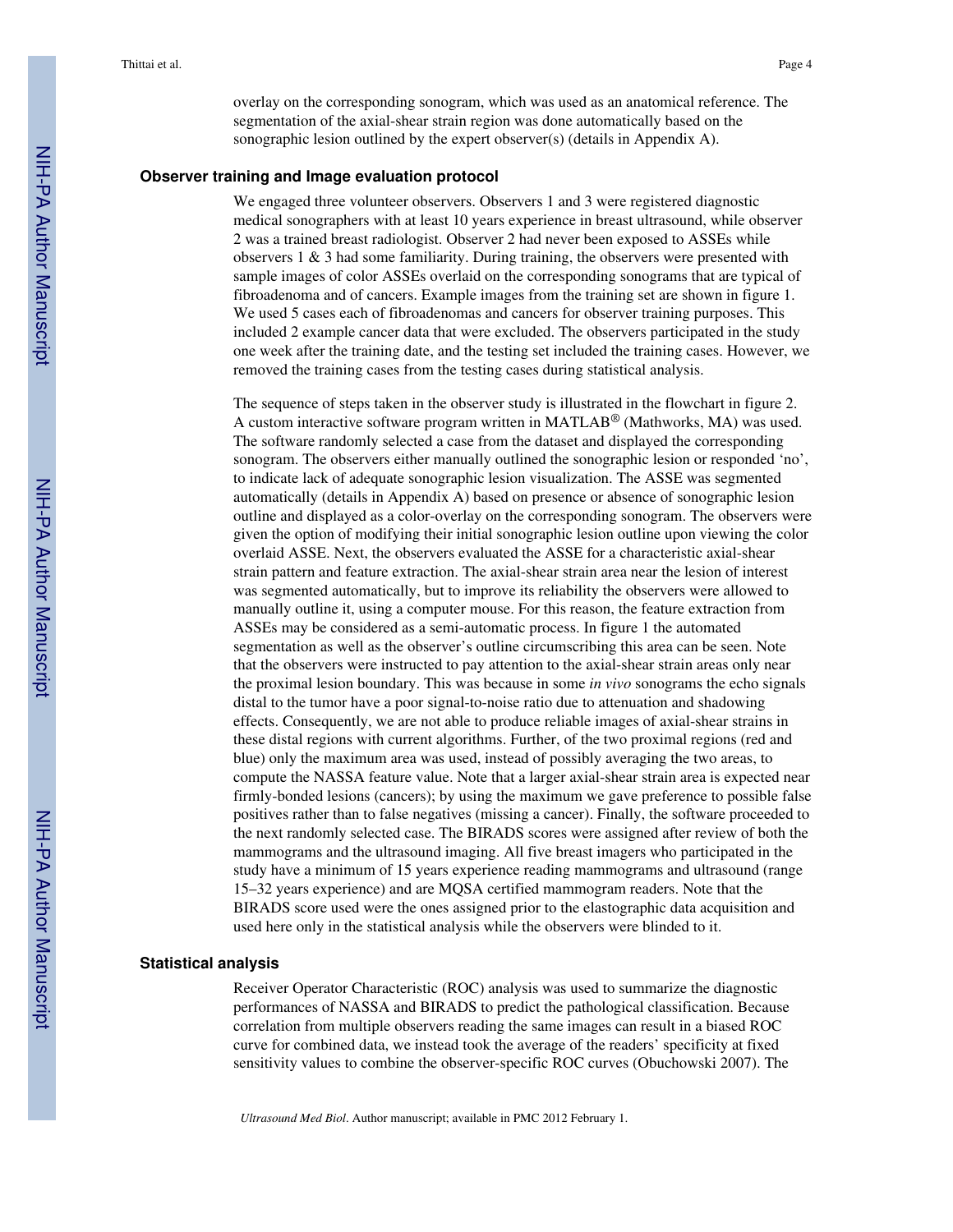overlay on the corresponding sonogram, which was used as an anatomical reference. The segmentation of the axial-shear strain region was done automatically based on the sonographic lesion outlined by the expert observer(s) (details in Appendix A).

#### **Observer training and Image evaluation protocol**

We engaged three volunteer observers. Observers 1 and 3 were registered diagnostic medical sonographers with at least 10 years experience in breast ultrasound, while observer 2 was a trained breast radiologist. Observer 2 had never been exposed to ASSEs while observers  $1 \& 3$  had some familiarity. During training, the observers were presented with sample images of color ASSEs overlaid on the corresponding sonograms that are typical of fibroadenoma and of cancers. Example images from the training set are shown in figure 1. We used 5 cases each of fibroadenomas and cancers for observer training purposes. This included 2 example cancer data that were excluded. The observers participated in the study one week after the training date, and the testing set included the training cases. However, we removed the training cases from the testing cases during statistical analysis.

The sequence of steps taken in the observer study is illustrated in the flowchart in figure 2. A custom interactive software program written in MATLAB<sup>®</sup> (Mathworks, MA) was used. The software randomly selected a case from the dataset and displayed the corresponding sonogram. The observers either manually outlined the sonographic lesion or responded 'no', to indicate lack of adequate sonographic lesion visualization. The ASSE was segmented automatically (details in Appendix A) based on presence or absence of sonographic lesion outline and displayed as a color-overlay on the corresponding sonogram. The observers were given the option of modifying their initial sonographic lesion outline upon viewing the color overlaid ASSE. Next, the observers evaluated the ASSE for a characteristic axial-shear strain pattern and feature extraction. The axial-shear strain area near the lesion of interest was segmented automatically, but to improve its reliability the observers were allowed to manually outline it, using a computer mouse. For this reason, the feature extraction from ASSEs may be considered as a semi-automatic process. In figure 1 the automated segmentation as well as the observer's outline circumscribing this area can be seen. Note that the observers were instructed to pay attention to the axial-shear strain areas only near the proximal lesion boundary. This was because in some *in vivo* sonograms the echo signals distal to the tumor have a poor signal-to-noise ratio due to attenuation and shadowing effects. Consequently, we are not able to produce reliable images of axial-shear strains in these distal regions with current algorithms. Further, of the two proximal regions (red and blue) only the maximum area was used, instead of possibly averaging the two areas, to compute the NASSA feature value. Note that a larger axial-shear strain area is expected near firmly-bonded lesions (cancers); by using the maximum we gave preference to possible false positives rather than to false negatives (missing a cancer). Finally, the software proceeded to the next randomly selected case. The BIRADS scores were assigned after review of both the mammograms and the ultrasound imaging. All five breast imagers who participated in the study have a minimum of 15 years experience reading mammograms and ultrasound (range 15–32 years experience) and are MQSA certified mammogram readers. Note that the BIRADS score used were the ones assigned prior to the elastographic data acquisition and used here only in the statistical analysis while the observers were blinded to it.

#### **Statistical analysis**

Receiver Operator Characteristic (ROC) analysis was used to summarize the diagnostic performances of NASSA and BIRADS to predict the pathological classification. Because correlation from multiple observers reading the same images can result in a biased ROC curve for combined data, we instead took the average of the readers' specificity at fixed sensitivity values to combine the observer-specific ROC curves (Obuchowski 2007). The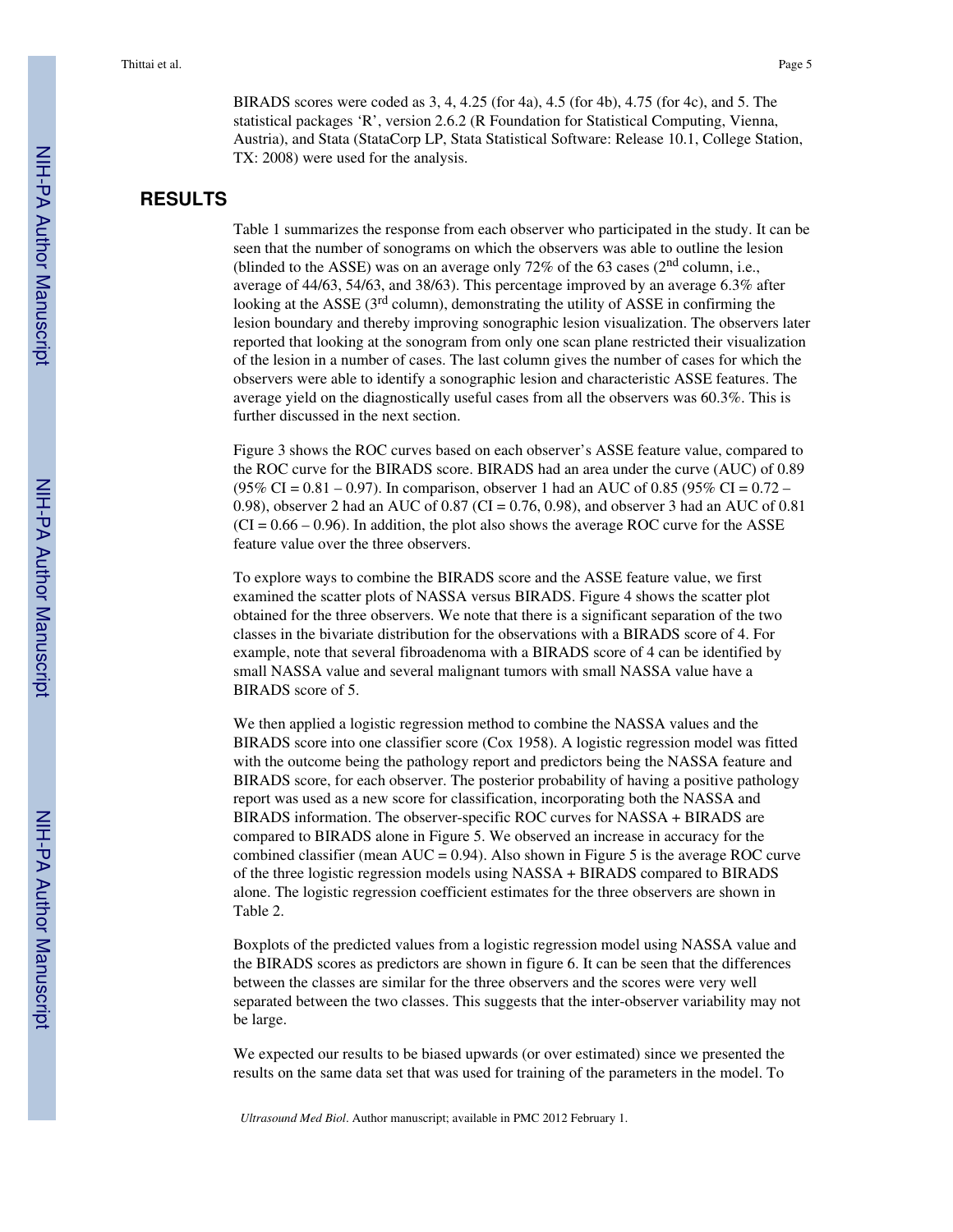BIRADS scores were coded as 3, 4, 4.25 (for 4a), 4.5 (for 4b), 4.75 (for 4c), and 5. The statistical packages 'R', version 2.6.2 (R Foundation for Statistical Computing, Vienna, Austria), and Stata (StataCorp LP, Stata Statistical Software: Release 10.1, College Station, TX: 2008) were used for the analysis.

# **RESULTS**

Table 1 summarizes the response from each observer who participated in the study. It can be seen that the number of sonograms on which the observers was able to outline the lesion (blinded to the ASSE) was on an average only  $72\%$  of the 63 cases ( $2<sup>nd</sup>$  column, i.e., average of 44/63, 54/63, and 38/63). This percentage improved by an average 6.3% after looking at the ASSE  $(3<sup>rd</sup> column)$ , demonstrating the utility of ASSE in confirming the lesion boundary and thereby improving sonographic lesion visualization. The observers later reported that looking at the sonogram from only one scan plane restricted their visualization of the lesion in a number of cases. The last column gives the number of cases for which the observers were able to identify a sonographic lesion and characteristic ASSE features. The average yield on the diagnostically useful cases from all the observers was 60.3%. This is further discussed in the next section.

Figure 3 shows the ROC curves based on each observer's ASSE feature value, compared to the ROC curve for the BIRADS score. BIRADS had an area under the curve (AUC) of 0.89 (95% CI =  $0.81 - 0.97$ ). In comparison, observer 1 had an AUC of 0.85 (95% CI =  $0.72 -$ 0.98), observer 2 had an AUC of 0.87 (CI = 0.76, 0.98), and observer 3 had an AUC of 0.81  $(CI = 0.66 - 0.96)$ . In addition, the plot also shows the average ROC curve for the ASSE feature value over the three observers.

To explore ways to combine the BIRADS score and the ASSE feature value, we first examined the scatter plots of NASSA versus BIRADS. Figure 4 shows the scatter plot obtained for the three observers. We note that there is a significant separation of the two classes in the bivariate distribution for the observations with a BIRADS score of 4. For example, note that several fibroadenoma with a BIRADS score of 4 can be identified by small NASSA value and several malignant tumors with small NASSA value have a BIRADS score of 5.

We then applied a logistic regression method to combine the NASSA values and the BIRADS score into one classifier score (Cox 1958). A logistic regression model was fitted with the outcome being the pathology report and predictors being the NASSA feature and BIRADS score, for each observer. The posterior probability of having a positive pathology report was used as a new score for classification, incorporating both the NASSA and BIRADS information. The observer-specific ROC curves for NASSA + BIRADS are compared to BIRADS alone in Figure 5. We observed an increase in accuracy for the combined classifier (mean  $AUC = 0.94$ ). Also shown in Figure 5 is the average ROC curve of the three logistic regression models using NASSA + BIRADS compared to BIRADS alone. The logistic regression coefficient estimates for the three observers are shown in Table 2.

Boxplots of the predicted values from a logistic regression model using NASSA value and the BIRADS scores as predictors are shown in figure 6. It can be seen that the differences between the classes are similar for the three observers and the scores were very well separated between the two classes. This suggests that the inter-observer variability may not be large.

We expected our results to be biased upwards (or over estimated) since we presented the results on the same data set that was used for training of the parameters in the model. To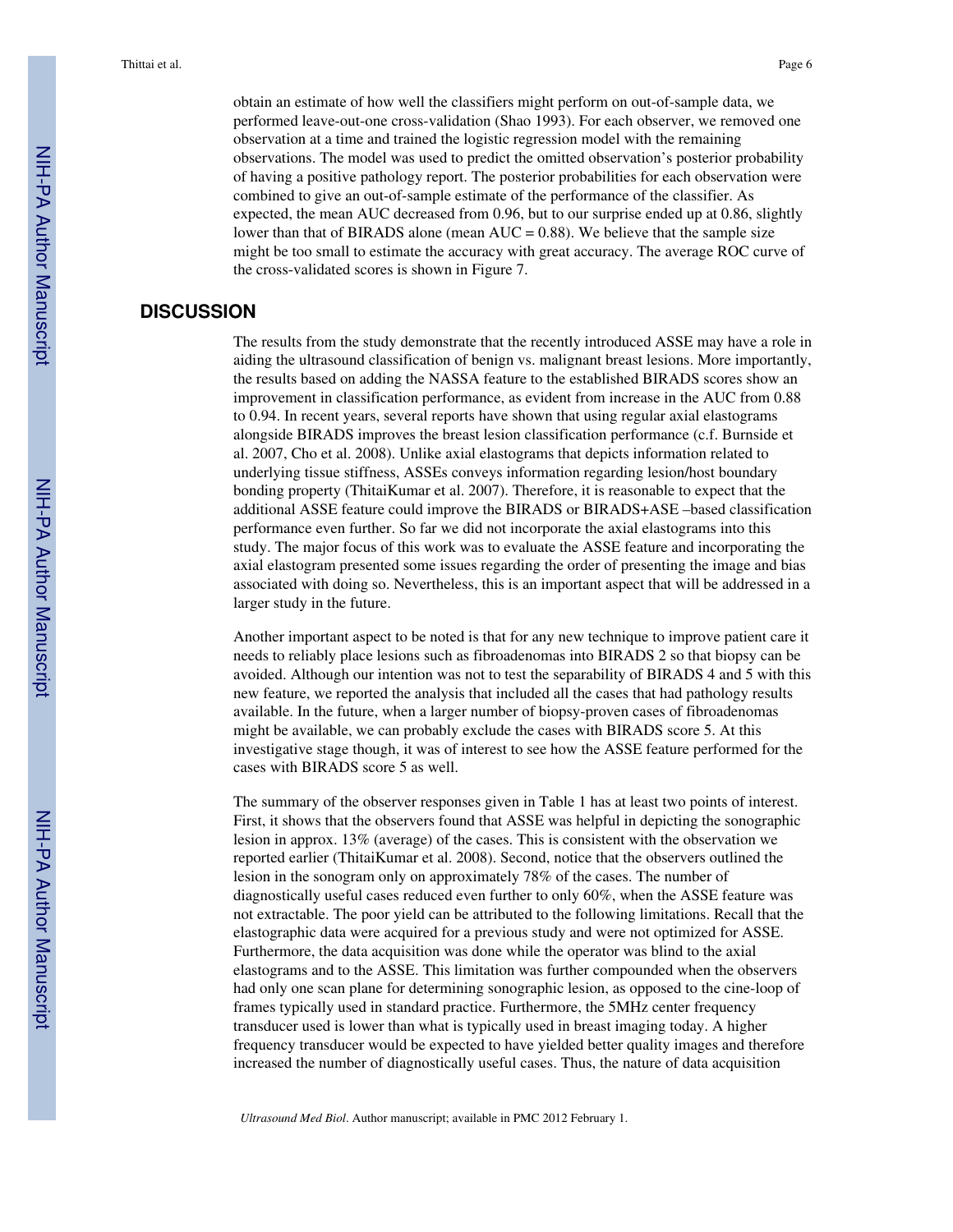obtain an estimate of how well the classifiers might perform on out-of-sample data, we performed leave-out-one cross-validation (Shao 1993). For each observer, we removed one observation at a time and trained the logistic regression model with the remaining observations. The model was used to predict the omitted observation's posterior probability of having a positive pathology report. The posterior probabilities for each observation were combined to give an out-of-sample estimate of the performance of the classifier. As expected, the mean AUC decreased from 0.96, but to our surprise ended up at 0.86, slightly lower than that of BIRADS alone (mean  $AUC = 0.88$ ). We believe that the sample size might be too small to estimate the accuracy with great accuracy. The average ROC curve of the cross-validated scores is shown in Figure 7.

# **DISCUSSION**

The results from the study demonstrate that the recently introduced ASSE may have a role in aiding the ultrasound classification of benign vs. malignant breast lesions. More importantly, the results based on adding the NASSA feature to the established BIRADS scores show an improvement in classification performance, as evident from increase in the AUC from 0.88 to 0.94. In recent years, several reports have shown that using regular axial elastograms alongside BIRADS improves the breast lesion classification performance (c.f. Burnside et al. 2007, Cho et al. 2008). Unlike axial elastograms that depicts information related to underlying tissue stiffness, ASSEs conveys information regarding lesion/host boundary bonding property (ThitaiKumar et al. 2007). Therefore, it is reasonable to expect that the additional ASSE feature could improve the BIRADS or BIRADS+ASE –based classification performance even further. So far we did not incorporate the axial elastograms into this study. The major focus of this work was to evaluate the ASSE feature and incorporating the axial elastogram presented some issues regarding the order of presenting the image and bias associated with doing so. Nevertheless, this is an important aspect that will be addressed in a larger study in the future.

Another important aspect to be noted is that for any new technique to improve patient care it needs to reliably place lesions such as fibroadenomas into BIRADS 2 so that biopsy can be avoided. Although our intention was not to test the separability of BIRADS 4 and 5 with this new feature, we reported the analysis that included all the cases that had pathology results available. In the future, when a larger number of biopsy-proven cases of fibroadenomas might be available, we can probably exclude the cases with BIRADS score 5. At this investigative stage though, it was of interest to see how the ASSE feature performed for the cases with BIRADS score 5 as well.

The summary of the observer responses given in Table 1 has at least two points of interest. First, it shows that the observers found that ASSE was helpful in depicting the sonographic lesion in approx. 13% (average) of the cases. This is consistent with the observation we reported earlier (ThitaiKumar et al. 2008). Second, notice that the observers outlined the lesion in the sonogram only on approximately 78% of the cases. The number of diagnostically useful cases reduced even further to only 60%, when the ASSE feature was not extractable. The poor yield can be attributed to the following limitations. Recall that the elastographic data were acquired for a previous study and were not optimized for ASSE. Furthermore, the data acquisition was done while the operator was blind to the axial elastograms and to the ASSE. This limitation was further compounded when the observers had only one scan plane for determining sonographic lesion, as opposed to the cine-loop of frames typically used in standard practice. Furthermore, the 5MHz center frequency transducer used is lower than what is typically used in breast imaging today. A higher frequency transducer would be expected to have yielded better quality images and therefore increased the number of diagnostically useful cases. Thus, the nature of data acquisition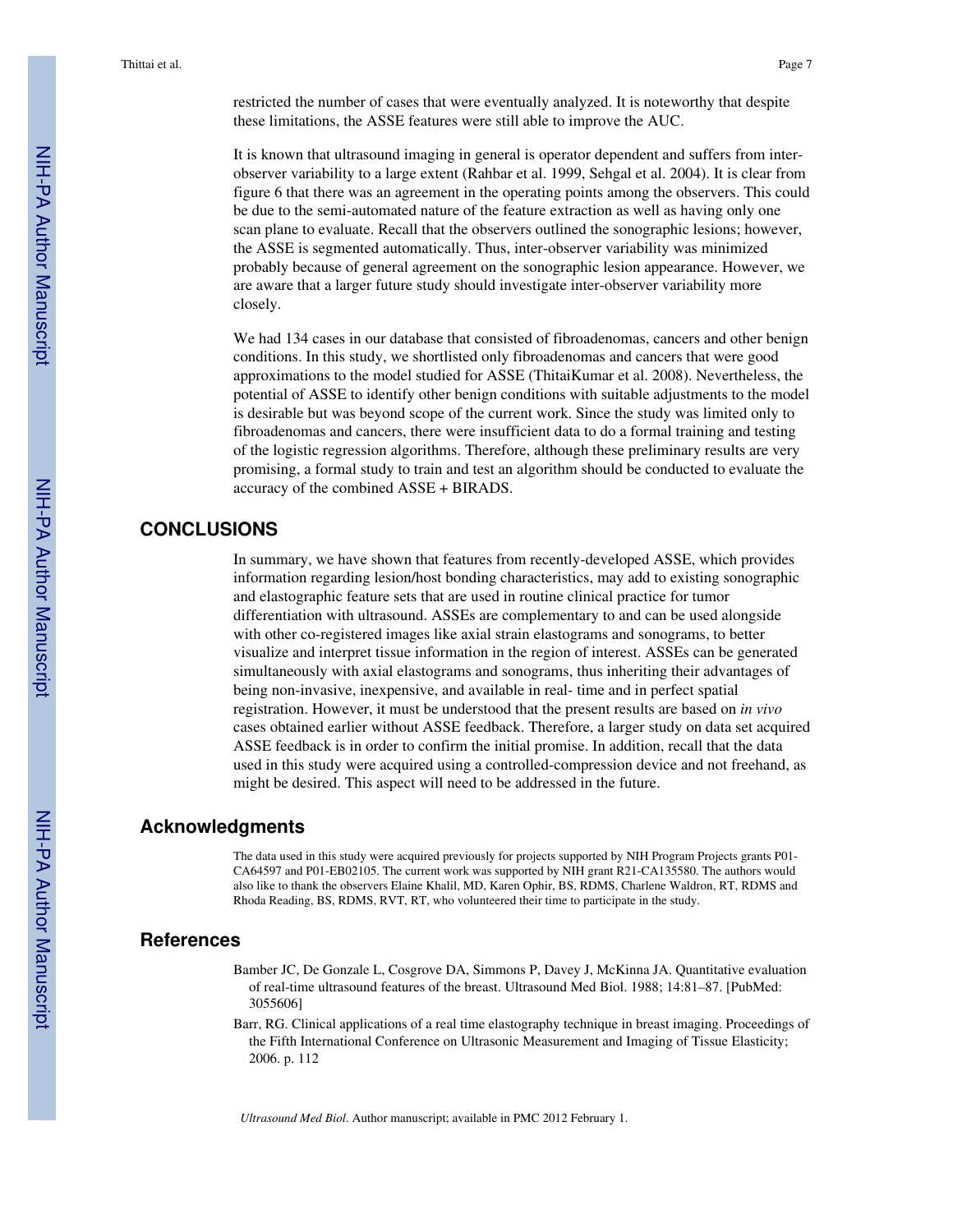It is known that ultrasound imaging in general is operator dependent and suffers from interobserver variability to a large extent (Rahbar et al. 1999, Sehgal et al. 2004). It is clear from figure 6 that there was an agreement in the operating points among the observers. This could be due to the semi-automated nature of the feature extraction as well as having only one scan plane to evaluate. Recall that the observers outlined the sonographic lesions; however, the ASSE is segmented automatically. Thus, inter-observer variability was minimized probably because of general agreement on the sonographic lesion appearance. However, we are aware that a larger future study should investigate inter-observer variability more closely.

We had 134 cases in our database that consisted of fibroadenomas, cancers and other benign conditions. In this study, we shortlisted only fibroadenomas and cancers that were good approximations to the model studied for ASSE (ThitaiKumar et al. 2008). Nevertheless, the potential of ASSE to identify other benign conditions with suitable adjustments to the model is desirable but was beyond scope of the current work. Since the study was limited only to fibroadenomas and cancers, there were insufficient data to do a formal training and testing of the logistic regression algorithms. Therefore, although these preliminary results are very promising, a formal study to train and test an algorithm should be conducted to evaluate the accuracy of the combined ASSE + BIRADS.

# **CONCLUSIONS**

In summary, we have shown that features from recently-developed ASSE, which provides information regarding lesion/host bonding characteristics, may add to existing sonographic and elastographic feature sets that are used in routine clinical practice for tumor differentiation with ultrasound. ASSEs are complementary to and can be used alongside with other co-registered images like axial strain elastograms and sonograms, to better visualize and interpret tissue information in the region of interest. ASSEs can be generated simultaneously with axial elastograms and sonograms, thus inheriting their advantages of being non-invasive, inexpensive, and available in real- time and in perfect spatial registration. However, it must be understood that the present results are based on *in vivo* cases obtained earlier without ASSE feedback. Therefore, a larger study on data set acquired ASSE feedback is in order to confirm the initial promise. In addition, recall that the data used in this study were acquired using a controlled-compression device and not freehand, as might be desired. This aspect will need to be addressed in the future.

## **Acknowledgments**

The data used in this study were acquired previously for projects supported by NIH Program Projects grants P01- CA64597 and P01-EB02105. The current work was supported by NIH grant R21-CA135580. The authors would also like to thank the observers Elaine Khalil, MD, Karen Ophir, BS, RDMS, Charlene Waldron, RT, RDMS and Rhoda Reading, BS, RDMS, RVT, RT, who volunteered their time to participate in the study.

## **References**

- Bamber JC, De Gonzale L, Cosgrove DA, Simmons P, Davey J, McKinna JA. Quantitative evaluation of real-time ultrasound features of the breast. Ultrasound Med Biol. 1988; 14:81–87. [PubMed: 3055606]
- Barr, RG. Clinical applications of a real time elastography technique in breast imaging. Proceedings of the Fifth International Conference on Ultrasonic Measurement and Imaging of Tissue Elasticity; 2006. p. 112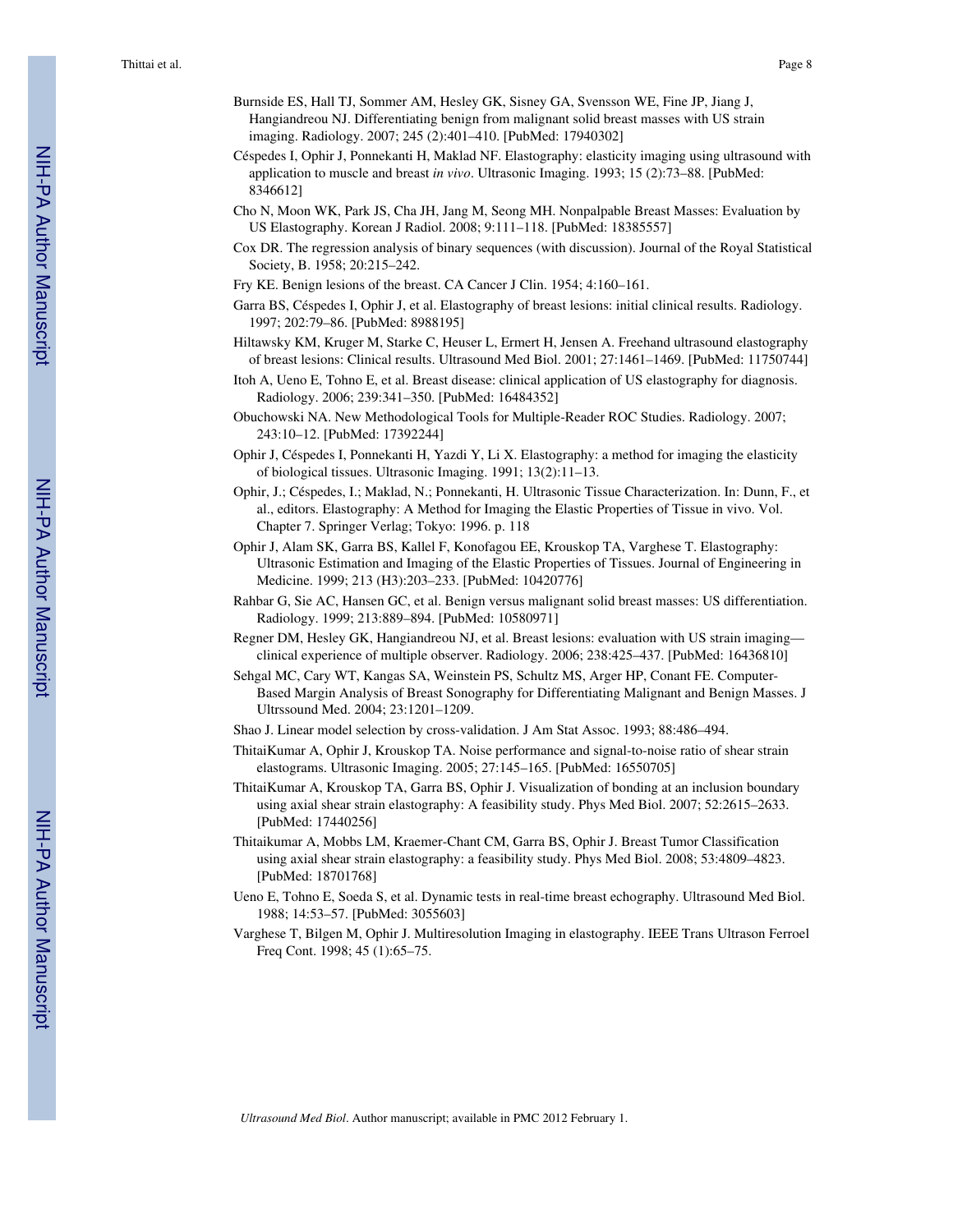- Burnside ES, Hall TJ, Sommer AM, Hesley GK, Sisney GA, Svensson WE, Fine JP, Jiang J, Hangiandreou NJ. Differentiating benign from malignant solid breast masses with US strain imaging. Radiology. 2007; 245 (2):401–410. [PubMed: 17940302]
- Céspedes I, Ophir J, Ponnekanti H, Maklad NF. Elastography: elasticity imaging using ultrasound with application to muscle and breast *in vivo*. Ultrasonic Imaging. 1993; 15 (2):73–88. [PubMed: 8346612]
- Cho N, Moon WK, Park JS, Cha JH, Jang M, Seong MH. Nonpalpable Breast Masses: Evaluation by US Elastography. Korean J Radiol. 2008; 9:111–118. [PubMed: 18385557]
- Cox DR. The regression analysis of binary sequences (with discussion). Journal of the Royal Statistical Society, B. 1958; 20:215–242.
- Fry KE. Benign lesions of the breast. CA Cancer J Clin. 1954; 4:160–161.
- Garra BS, Céspedes I, Ophir J, et al. Elastography of breast lesions: initial clinical results. Radiology. 1997; 202:79–86. [PubMed: 8988195]
- Hiltawsky KM, Kruger M, Starke C, Heuser L, Ermert H, Jensen A. Freehand ultrasound elastography of breast lesions: Clinical results. Ultrasound Med Biol. 2001; 27:1461–1469. [PubMed: 11750744]
- Itoh A, Ueno E, Tohno E, et al. Breast disease: clinical application of US elastography for diagnosis. Radiology. 2006; 239:341–350. [PubMed: 16484352]
- Obuchowski NA. New Methodological Tools for Multiple-Reader ROC Studies. Radiology. 2007; 243:10–12. [PubMed: 17392244]
- Ophir J, Céspedes I, Ponnekanti H, Yazdi Y, Li X. Elastography: a method for imaging the elasticity of biological tissues. Ultrasonic Imaging. 1991; 13(2):11–13.
- Ophir, J.; Céspedes, I.; Maklad, N.; Ponnekanti, H. Ultrasonic Tissue Characterization. In: Dunn, F., et al., editors. Elastography: A Method for Imaging the Elastic Properties of Tissue in vivo. Vol. Chapter 7. Springer Verlag; Tokyo: 1996. p. 118
- Ophir J, Alam SK, Garra BS, Kallel F, Konofagou EE, Krouskop TA, Varghese T. Elastography: Ultrasonic Estimation and Imaging of the Elastic Properties of Tissues. Journal of Engineering in Medicine. 1999; 213 (H3):203–233. [PubMed: 10420776]
- Rahbar G, Sie AC, Hansen GC, et al. Benign versus malignant solid breast masses: US differentiation. Radiology. 1999; 213:889–894. [PubMed: 10580971]
- Regner DM, Hesley GK, Hangiandreou NJ, et al. Breast lesions: evaluation with US strain imaging clinical experience of multiple observer. Radiology. 2006; 238:425–437. [PubMed: 16436810]
- Sehgal MC, Cary WT, Kangas SA, Weinstein PS, Schultz MS, Arger HP, Conant FE. Computer-Based Margin Analysis of Breast Sonography for Differentiating Malignant and Benign Masses. J Ultrssound Med. 2004; 23:1201–1209.
- Shao J. Linear model selection by cross-validation. J Am Stat Assoc. 1993; 88:486–494.
- ThitaiKumar A, Ophir J, Krouskop TA. Noise performance and signal-to-noise ratio of shear strain elastograms. Ultrasonic Imaging. 2005; 27:145–165. [PubMed: 16550705]
- ThitaiKumar A, Krouskop TA, Garra BS, Ophir J. Visualization of bonding at an inclusion boundary using axial shear strain elastography: A feasibility study. Phys Med Biol. 2007; 52:2615–2633. [PubMed: 17440256]
- Thitaikumar A, Mobbs LM, Kraemer-Chant CM, Garra BS, Ophir J. Breast Tumor Classification using axial shear strain elastography: a feasibility study. Phys Med Biol. 2008; 53:4809–4823. [PubMed: 18701768]
- Ueno E, Tohno E, Soeda S, et al. Dynamic tests in real-time breast echography. Ultrasound Med Biol. 1988; 14:53–57. [PubMed: 3055603]
- Varghese T, Bilgen M, Ophir J. Multiresolution Imaging in elastography. IEEE Trans Ultrason Ferroel Freq Cont. 1998; 45 (1):65–75.

NIH-PA Actror Manuscript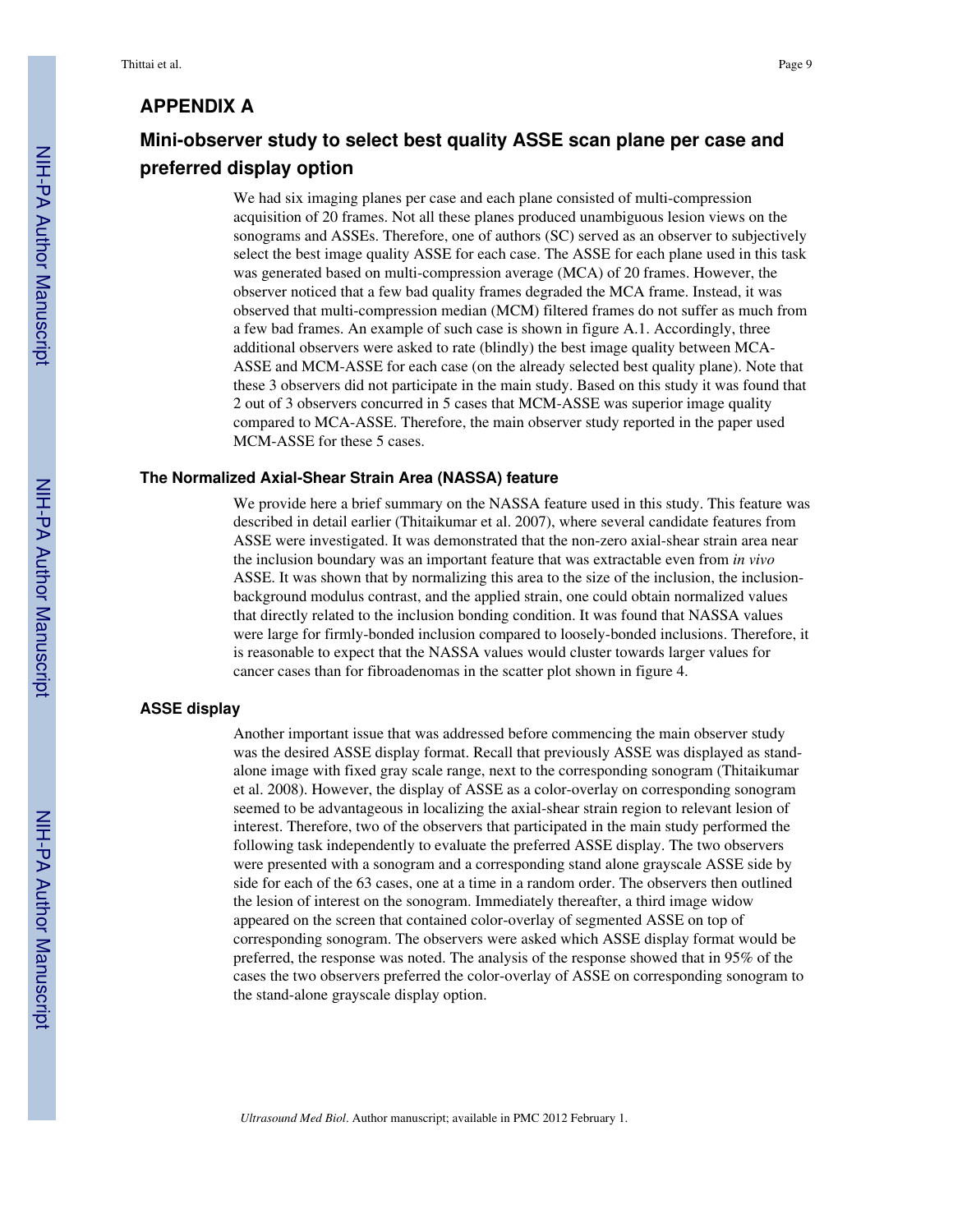# **APPENDIX A**

# **Mini-observer study to select best quality ASSE scan plane per case and preferred display option**

We had six imaging planes per case and each plane consisted of multi-compression acquisition of 20 frames. Not all these planes produced unambiguous lesion views on the sonograms and ASSEs. Therefore, one of authors (SC) served as an observer to subjectively select the best image quality ASSE for each case. The ASSE for each plane used in this task was generated based on multi-compression average (MCA) of 20 frames. However, the observer noticed that a few bad quality frames degraded the MCA frame. Instead, it was observed that multi-compression median (MCM) filtered frames do not suffer as much from a few bad frames. An example of such case is shown in figure A.1. Accordingly, three additional observers were asked to rate (blindly) the best image quality between MCA-ASSE and MCM-ASSE for each case (on the already selected best quality plane). Note that these 3 observers did not participate in the main study. Based on this study it was found that 2 out of 3 observers concurred in 5 cases that MCM-ASSE was superior image quality compared to MCA-ASSE. Therefore, the main observer study reported in the paper used MCM-ASSE for these 5 cases.

#### **The Normalized Axial-Shear Strain Area (NASSA) feature**

We provide here a brief summary on the NASSA feature used in this study. This feature was described in detail earlier (Thitaikumar et al. 2007), where several candidate features from ASSE were investigated. It was demonstrated that the non-zero axial-shear strain area near the inclusion boundary was an important feature that was extractable even from *in vivo* ASSE. It was shown that by normalizing this area to the size of the inclusion, the inclusionbackground modulus contrast, and the applied strain, one could obtain normalized values that directly related to the inclusion bonding condition. It was found that NASSA values were large for firmly-bonded inclusion compared to loosely-bonded inclusions. Therefore, it is reasonable to expect that the NASSA values would cluster towards larger values for cancer cases than for fibroadenomas in the scatter plot shown in figure 4.

#### **ASSE display**

Another important issue that was addressed before commencing the main observer study was the desired ASSE display format. Recall that previously ASSE was displayed as standalone image with fixed gray scale range, next to the corresponding sonogram (Thitaikumar et al. 2008). However, the display of ASSE as a color-overlay on corresponding sonogram seemed to be advantageous in localizing the axial-shear strain region to relevant lesion of interest. Therefore, two of the observers that participated in the main study performed the following task independently to evaluate the preferred ASSE display. The two observers were presented with a sonogram and a corresponding stand alone grayscale ASSE side by side for each of the 63 cases, one at a time in a random order. The observers then outlined the lesion of interest on the sonogram. Immediately thereafter, a third image widow appeared on the screen that contained color-overlay of segmented ASSE on top of corresponding sonogram. The observers were asked which ASSE display format would be preferred, the response was noted. The analysis of the response showed that in 95% of the cases the two observers preferred the color-overlay of ASSE on corresponding sonogram to the stand-alone grayscale display option.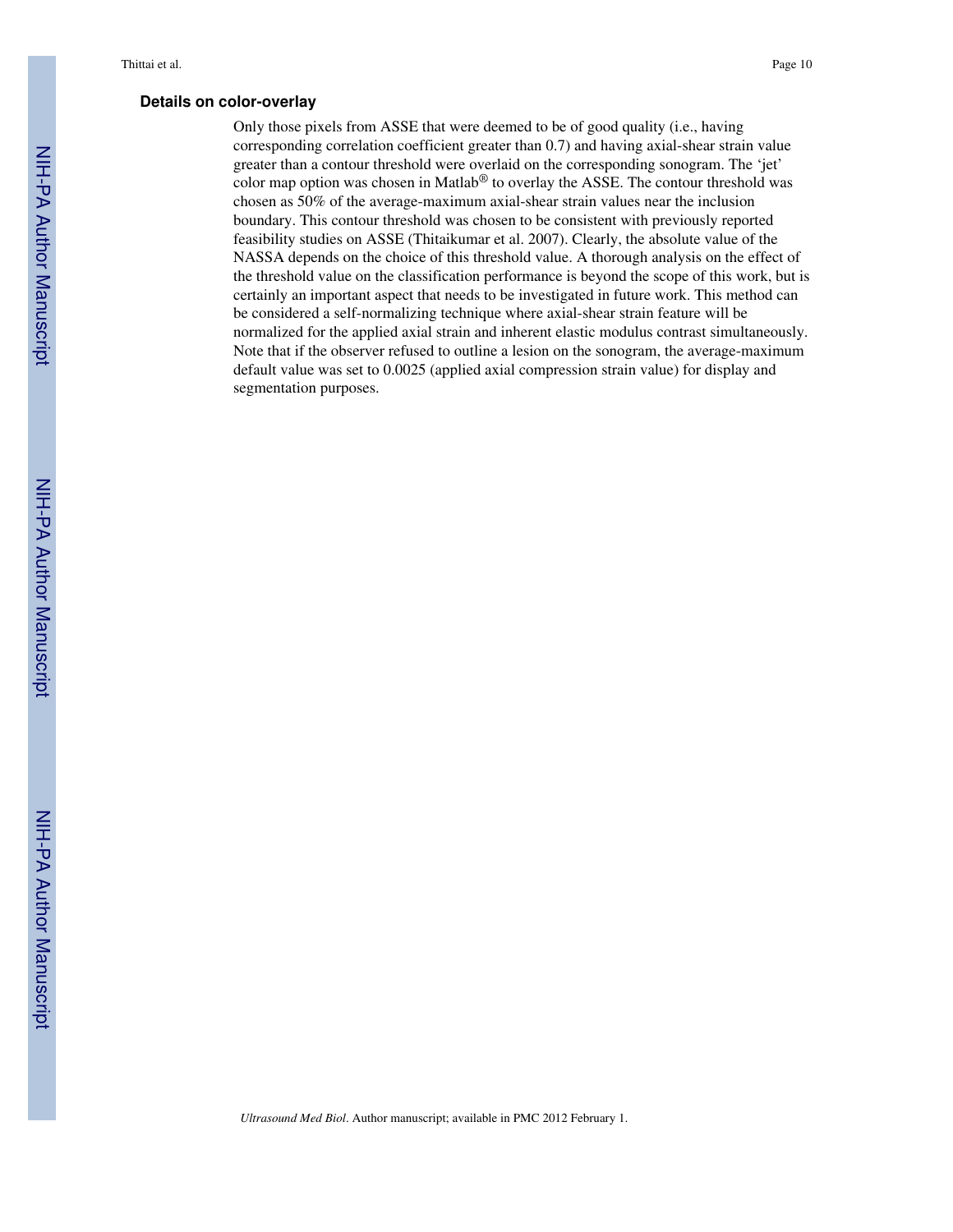#### **Details on color-overlay**

Only those pixels from ASSE that were deemed to be of good quality (i.e., having corresponding correlation coefficient greater than 0.7) and having axial-shear strain value greater than a contour threshold were overlaid on the corresponding sonogram. The 'jet' color map option was chosen in Matlab® to overlay the ASSE. The contour threshold was chosen as 50% of the average-maximum axial-shear strain values near the inclusion boundary. This contour threshold was chosen to be consistent with previously reported feasibility studies on ASSE (Thitaikumar et al. 2007). Clearly, the absolute value of the NASSA depends on the choice of this threshold value. A thorough analysis on the effect of the threshold value on the classification performance is beyond the scope of this work, but is certainly an important aspect that needs to be investigated in future work. This method can be considered a self-normalizing technique where axial-shear strain feature will be normalized for the applied axial strain and inherent elastic modulus contrast simultaneously. Note that if the observer refused to outline a lesion on the sonogram, the average-maximum default value was set to 0.0025 (applied axial compression strain value) for display and segmentation purposes.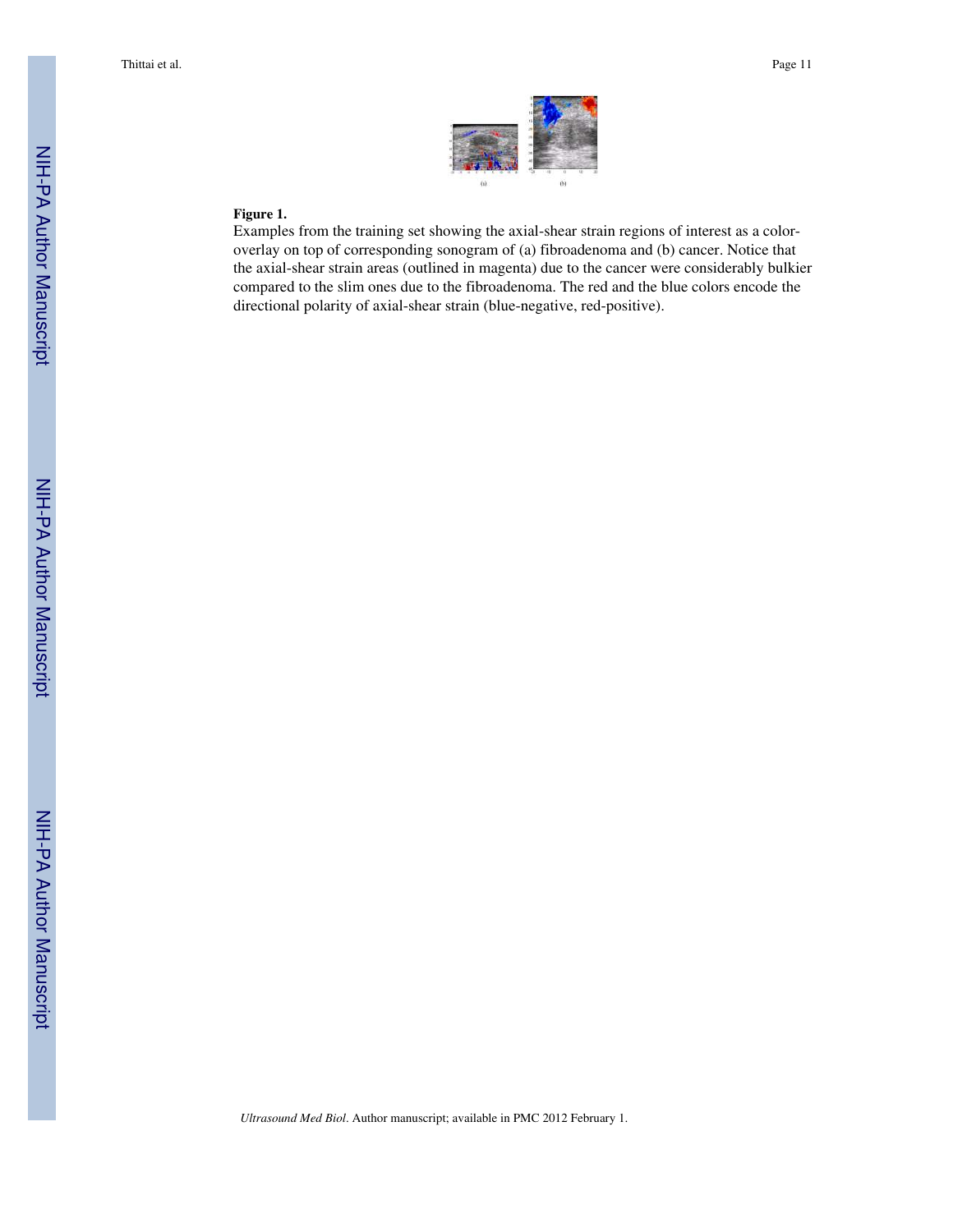

### **Figure 1.**

Examples from the training set showing the axial-shear strain regions of interest as a coloroverlay on top of corresponding sonogram of (a) fibroadenoma and (b) cancer. Notice that the axial-shear strain areas (outlined in magenta) due to the cancer were considerably bulkier compared to the slim ones due to the fibroadenoma. The red and the blue colors encode the directional polarity of axial-shear strain (blue-negative, red-positive).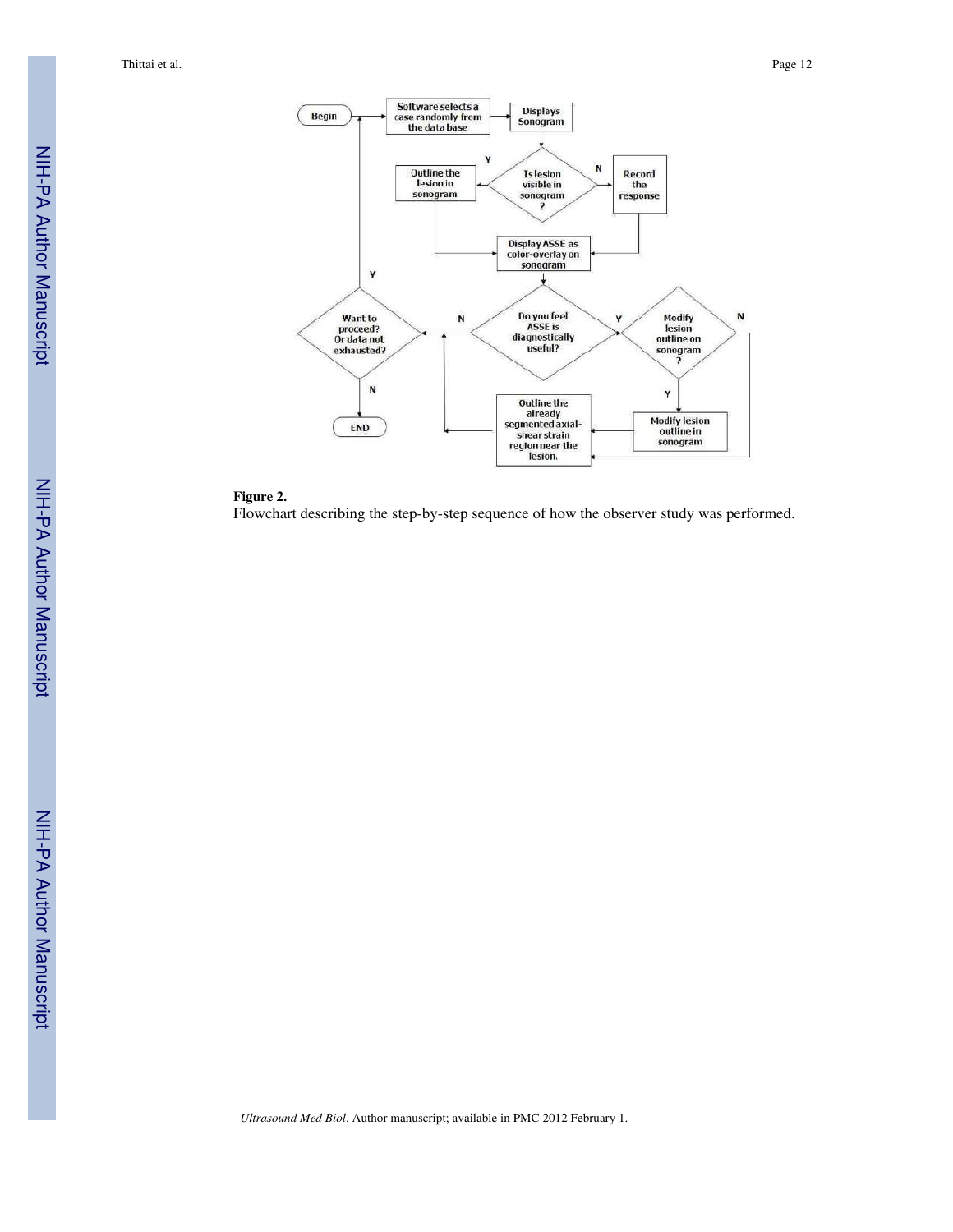

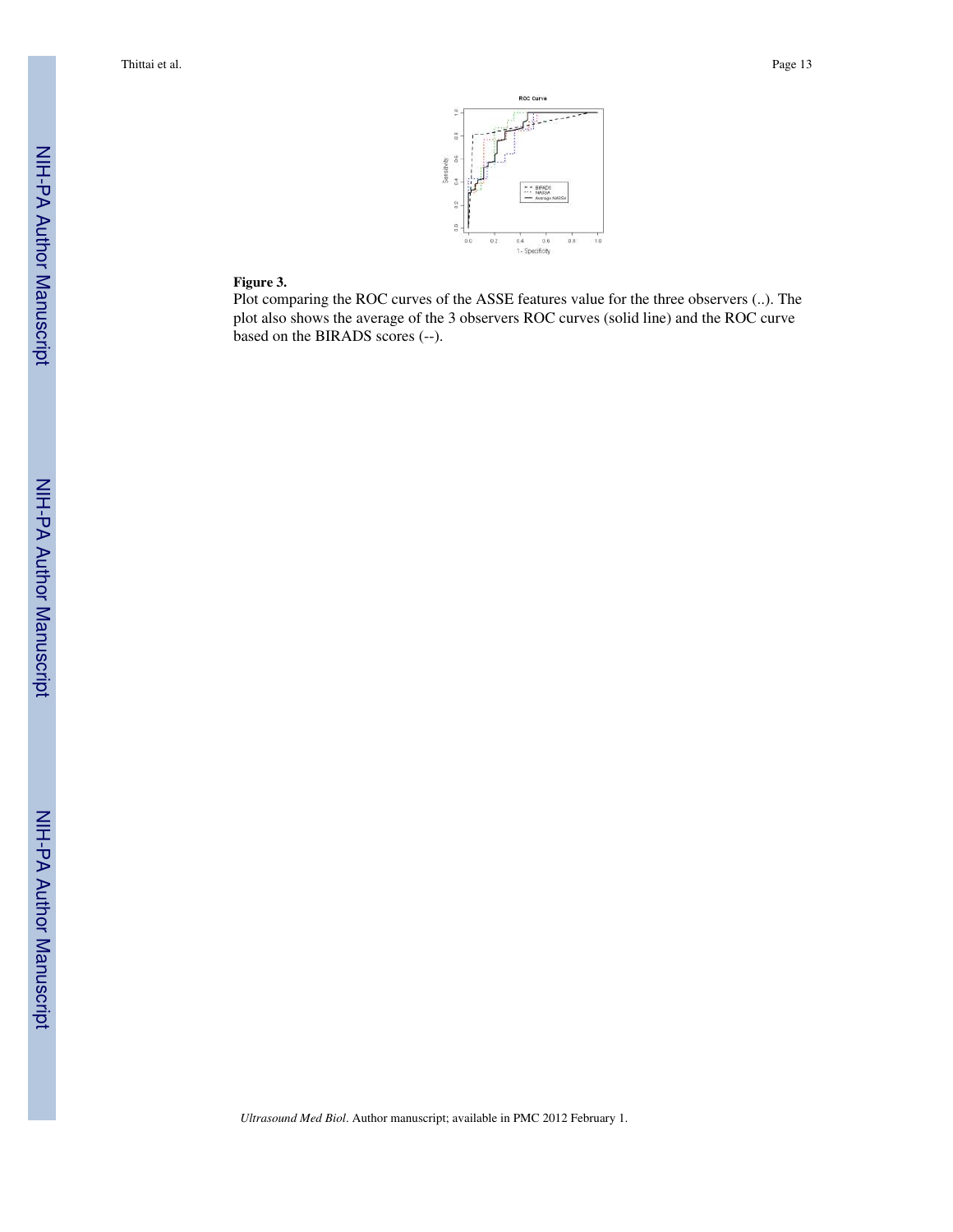

## **Figure 3.**

Plot comparing the ROC curves of the ASSE features value for the three observers (..). The plot also shows the average of the 3 observers ROC curves (solid line) and the ROC curve based on the BIRADS scores (--).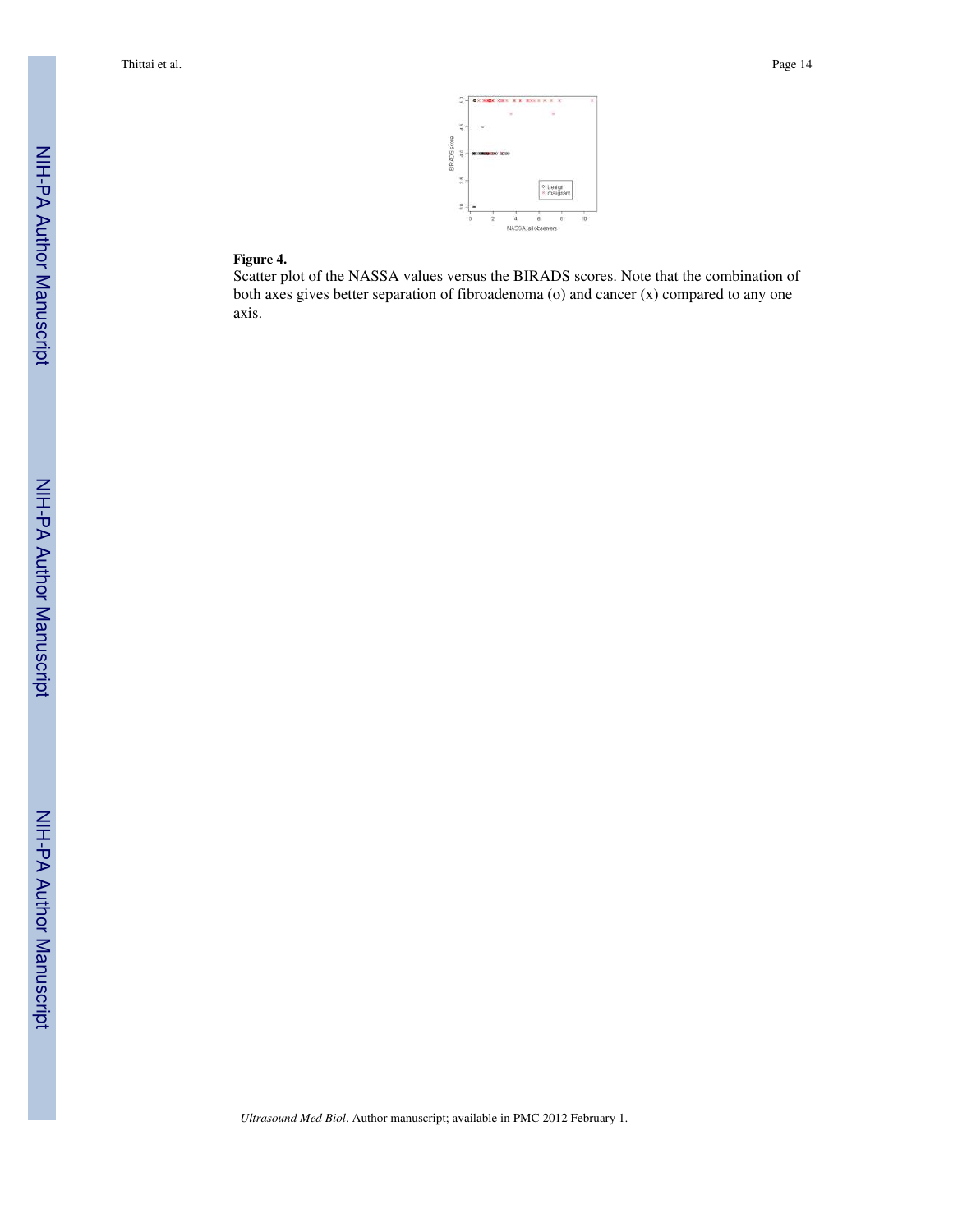

### **Figure 4.**

Scatter plot of the NASSA values versus the BIRADS scores. Note that the combination of both axes gives better separation of fibroadenoma (o) and cancer (x) compared to any one axis.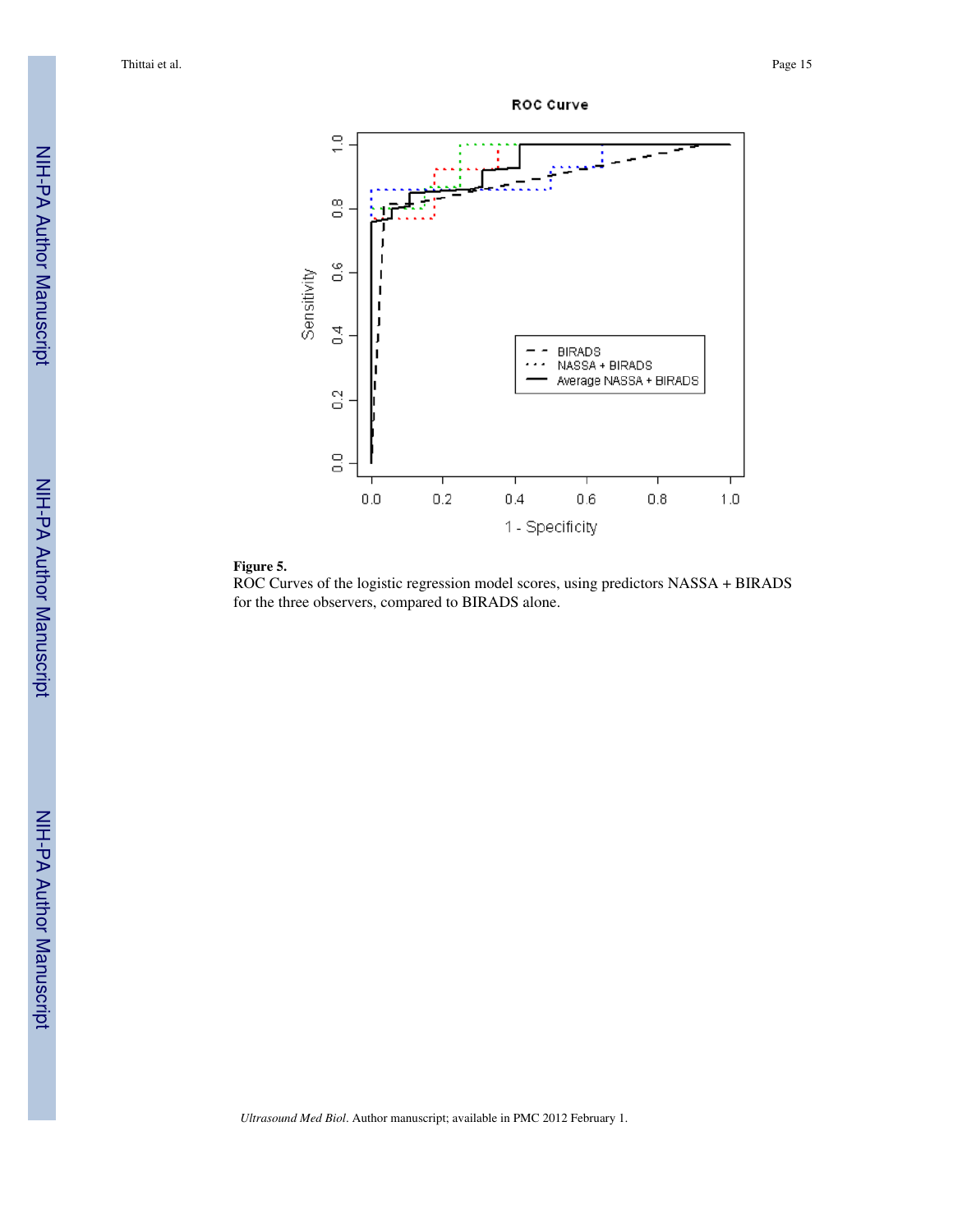



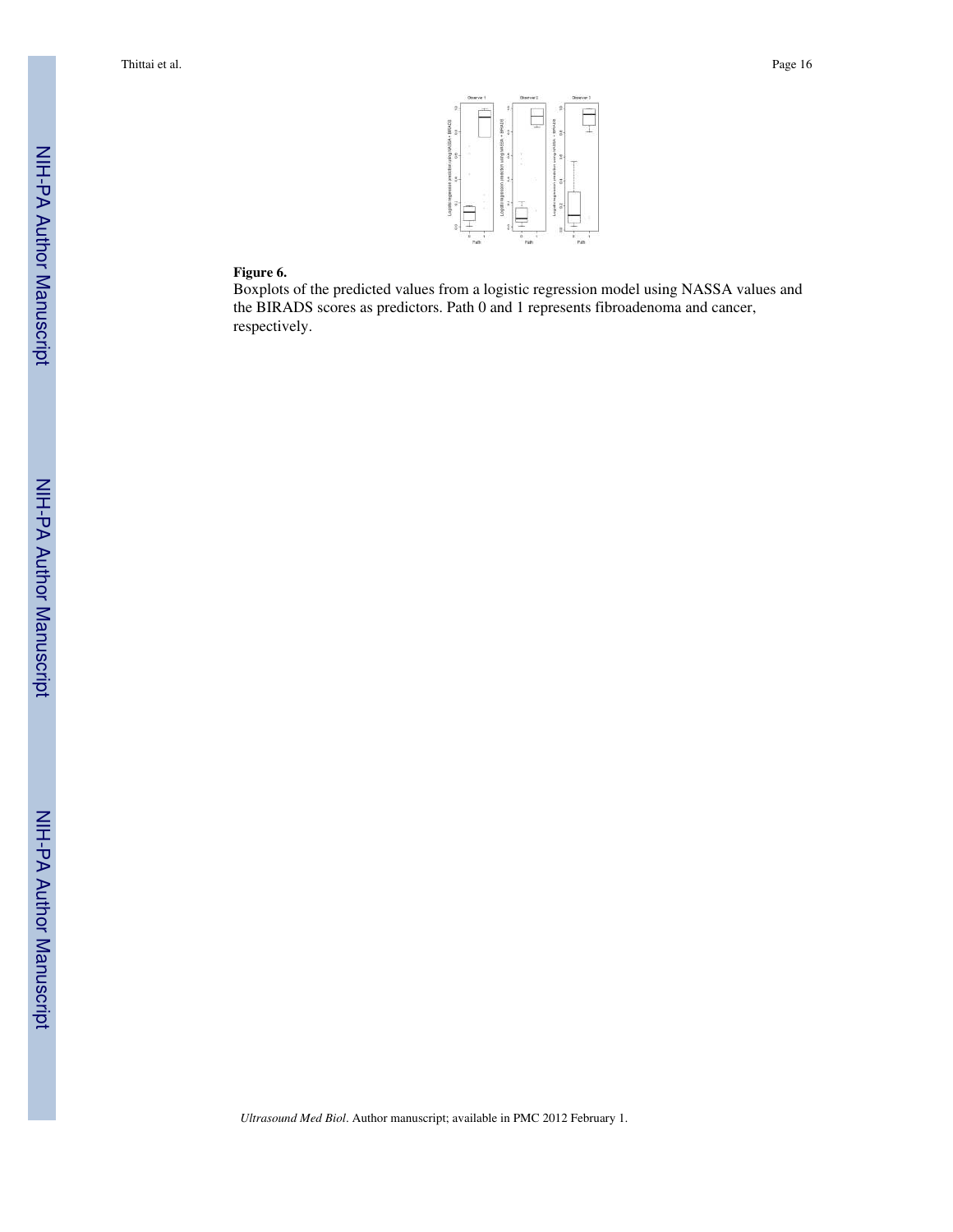

#### **Figure 6.**

Boxplots of the predicted values from a logistic regression model using NASSA values and the BIRADS scores as predictors. Path 0 and 1 represents fibroadenoma and cancer, respectively.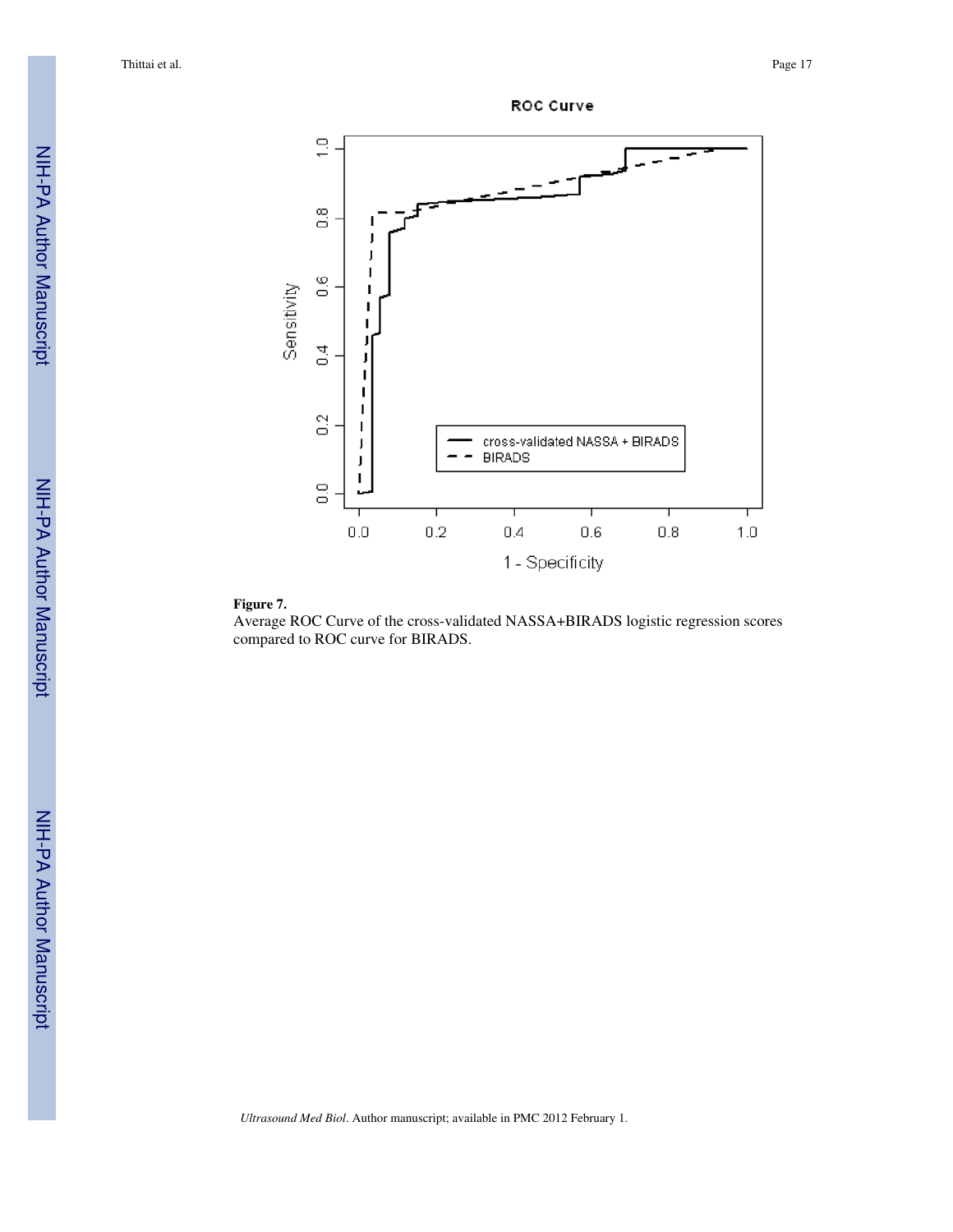



Average ROC Curve of the cross-validated NASSA+BIRADS logistic regression scores compared to ROC curve for BIRADS.

ROC Curve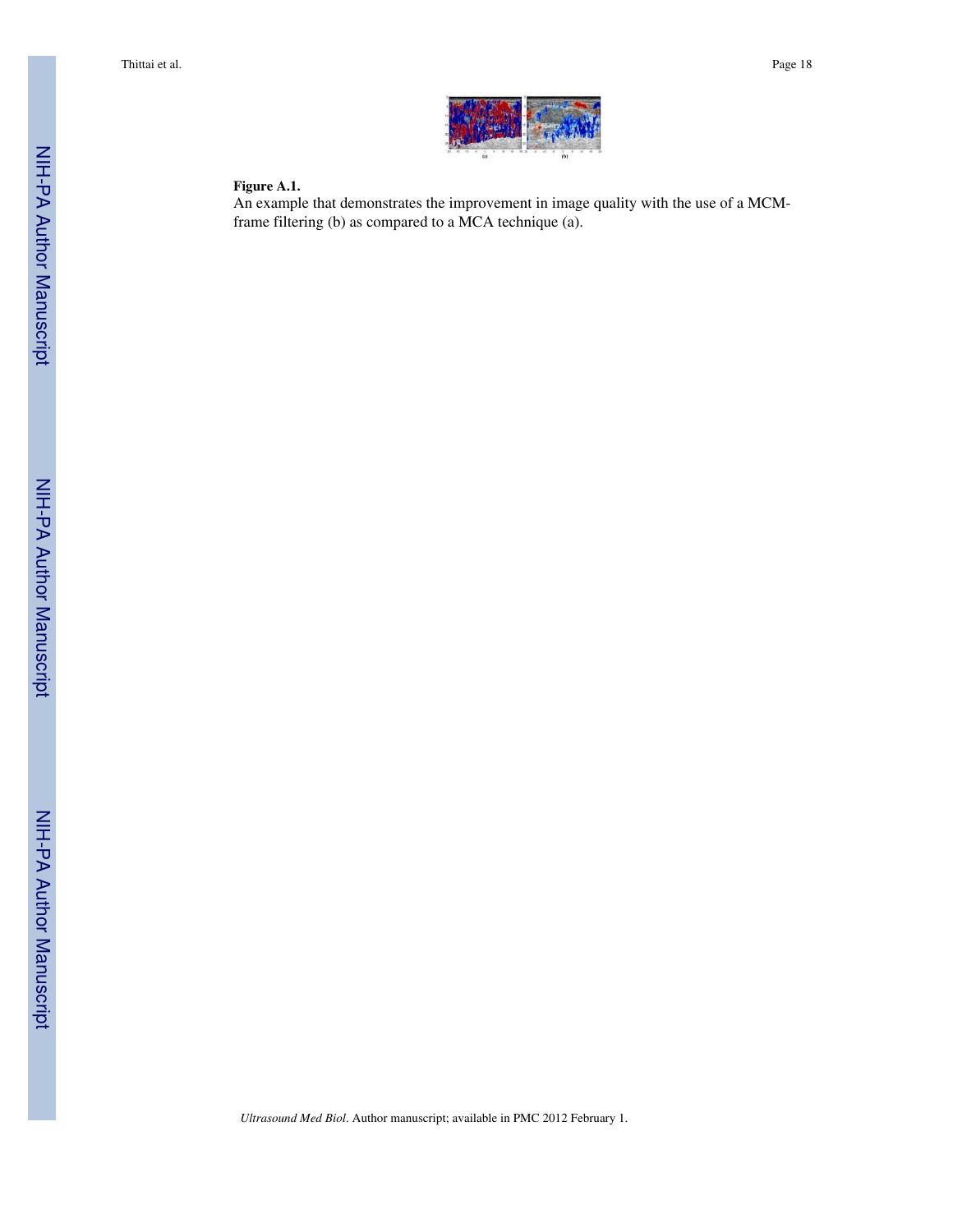

#### **Figure A.1.**

An example that demonstrates the improvement in image quality with the use of a MCMframe filtering (b) as compared to a MCA technique (a).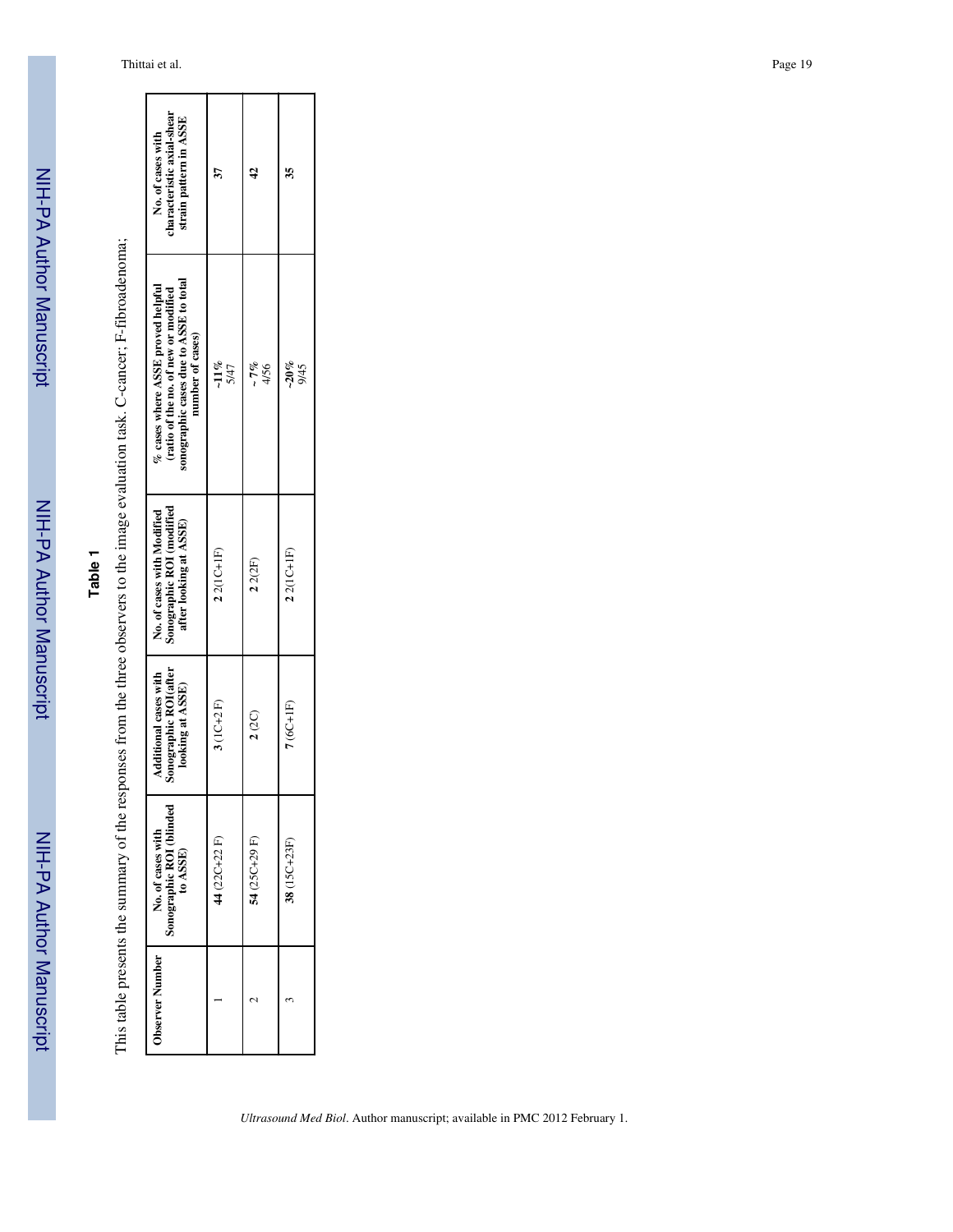NIH-PA Author ManuscriptNIH-PA Author Manuscript

# **Table 1**

This table presents the summary of the responses from the three observers to the image evaluation task. C-cancer; F-fibroadenoma; This table presents the summary of the responses from the three observers to the image evaluation task. C-cancer; F-fibroadenoma;

| characteristic axial-shear<br>strain pattern in ASSE<br>No. of cases with                                                               |                 |               | 35              |
|-----------------------------------------------------------------------------------------------------------------------------------------|-----------------|---------------|-----------------|
| sonographic cases due to ASSE to total<br>% cases where ASSE proved helpful<br>(ratio of the no. of new or modified<br>number of cases) | $-11\%$<br>5/47 | - 7%<br>4/56  | $-20\%$<br>9/45 |
| Sonographic ROI (modified<br>No. of cases with Modified<br>after looking at ASSE)                                                       | $22(1C+1F)$     | 22(2F)        | $22(1C+1F)$     |
| Sonographic ROI(after<br>Additional cases with<br>looking at ASSE)                                                                      | $3(1C+2F)$      | 2(2C)         | $7(6C+1F)$      |
| No. of cases with<br>Sonographic ROI (blinded<br>to ASSE)                                                                               | $44(22C+22F)$   | 54 (25C+29 F) | 38 (15C+23F)    |
| Observer Number                                                                                                                         |                 |               |                 |

г